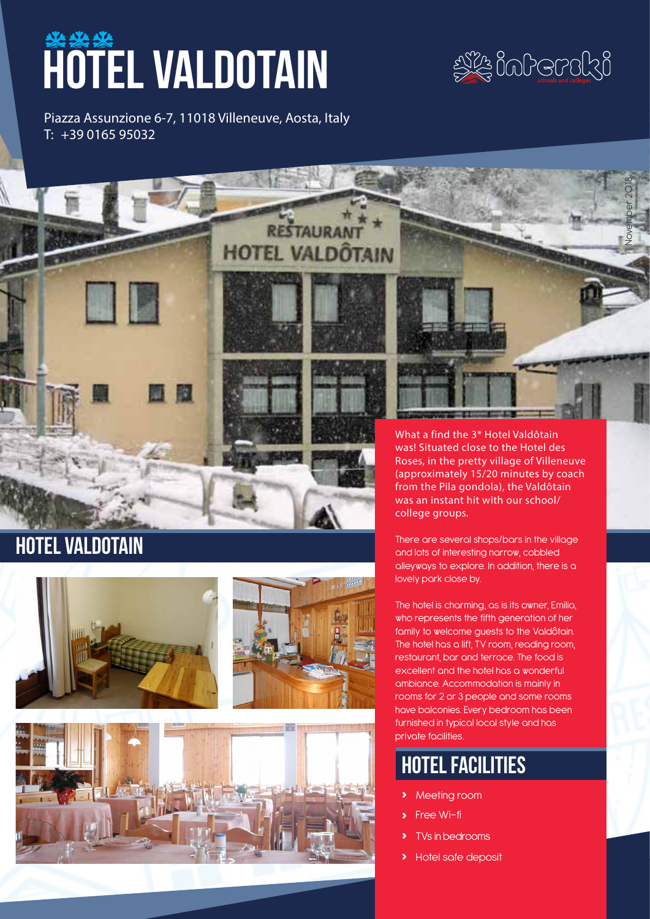# **WALDOTAIN**



November 2018

Piazza Assunzione 6-7, 11018 Villeneuve, Aosta, Italy T: +39 0165 95032

**HOTEL VALDÔTAIN** 







What a find the 3\* Hotel Valdôtain was! Situated close to the Hotel des Roses, in the pretty village of Villeneuve (approximately 15/20 minutes by coach from the Pila gondola), the Valdôtain was an instant hit with our school/ college groups.

There are several shops/bars in the village and lots of interesting narrow, cobbled alleyways to explore. In addition, there is a lovely park close by.

The hotel is charming, as is its owner, Emilia, who represents the fifth generation of her family to welcome guests to the Valdôtain. The hotel has a lift, TV room, reading room, restaurant, bar and terrace. The food is excellent and the hotel has a wonderful ambiance. Accommodation is mainly in rooms for 2 or 3 people and some rooms have balconies. Every bedroom has been furnished in typical local style and has private facilities.

# hotel facilities

- **›** Meeting room
- **›** Free Wi-fi
- **›** TVs in bedrooms
- **›** Hotel safe deposit